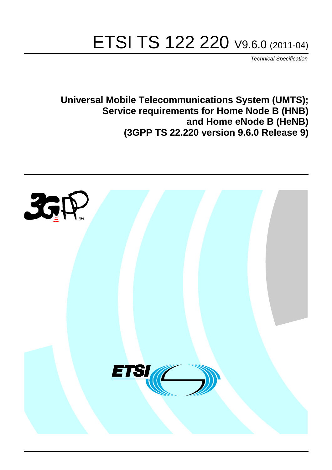# ETSI TS 122 220 V9.6.0 (2011-04)

*Technical Specification*

**Universal Mobile Telecommunications System (UMTS); Service requirements for Home Node B (HNB) and Home eNode B (HeNB) (3GPP TS 22.220 version 9.6.0 Release 9)**

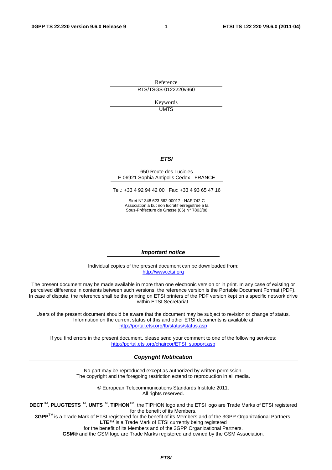Reference RTS/TSGS-0122220v960

> Keywords UMTS

#### *ETSI*

#### 650 Route des Lucioles F-06921 Sophia Antipolis Cedex - FRANCE

Tel.: +33 4 92 94 42 00 Fax: +33 4 93 65 47 16

Siret N° 348 623 562 00017 - NAF 742 C Association à but non lucratif enregistrée à la Sous-Préfecture de Grasse (06) N° 7803/88

#### *Important notice*

Individual copies of the present document can be downloaded from: [http://www.etsi.org](http://www.etsi.org/)

The present document may be made available in more than one electronic version or in print. In any case of existing or perceived difference in contents between such versions, the reference version is the Portable Document Format (PDF). In case of dispute, the reference shall be the printing on ETSI printers of the PDF version kept on a specific network drive within ETSI Secretariat.

Users of the present document should be aware that the document may be subject to revision or change of status. Information on the current status of this and other ETSI documents is available at <http://portal.etsi.org/tb/status/status.asp>

If you find errors in the present document, please send your comment to one of the following services: [http://portal.etsi.org/chaircor/ETSI\\_support.asp](http://portal.etsi.org/chaircor/ETSI_support.asp)

#### *Copyright Notification*

No part may be reproduced except as authorized by written permission. The copyright and the foregoing restriction extend to reproduction in all media.

> © European Telecommunications Standards Institute 2011. All rights reserved.

**DECT**TM, **PLUGTESTS**TM, **UMTS**TM, **TIPHON**TM, the TIPHON logo and the ETSI logo are Trade Marks of ETSI registered for the benefit of its Members.

**3GPP**TM is a Trade Mark of ETSI registered for the benefit of its Members and of the 3GPP Organizational Partners. **LTE**™ is a Trade Mark of ETSI currently being registered

for the benefit of its Members and of the 3GPP Organizational Partners.

**GSM**® and the GSM logo are Trade Marks registered and owned by the GSM Association.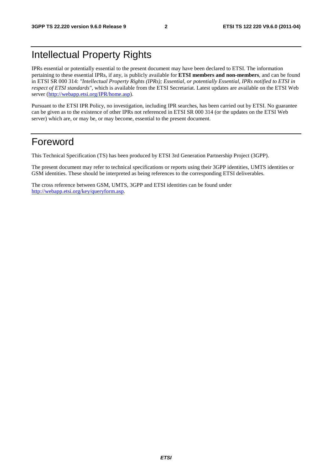# Intellectual Property Rights

IPRs essential or potentially essential to the present document may have been declared to ETSI. The information pertaining to these essential IPRs, if any, is publicly available for **ETSI members and non-members**, and can be found in ETSI SR 000 314: *"Intellectual Property Rights (IPRs); Essential, or potentially Essential, IPRs notified to ETSI in respect of ETSI standards"*, which is available from the ETSI Secretariat. Latest updates are available on the ETSI Web server [\(http://webapp.etsi.org/IPR/home.asp](http://webapp.etsi.org/IPR/home.asp)).

Pursuant to the ETSI IPR Policy, no investigation, including IPR searches, has been carried out by ETSI. No guarantee can be given as to the existence of other IPRs not referenced in ETSI SR 000 314 (or the updates on the ETSI Web server) which are, or may be, or may become, essential to the present document.

### Foreword

This Technical Specification (TS) has been produced by ETSI 3rd Generation Partnership Project (3GPP).

The present document may refer to technical specifications or reports using their 3GPP identities, UMTS identities or GSM identities. These should be interpreted as being references to the corresponding ETSI deliverables.

The cross reference between GSM, UMTS, 3GPP and ETSI identities can be found under <http://webapp.etsi.org/key/queryform.asp>.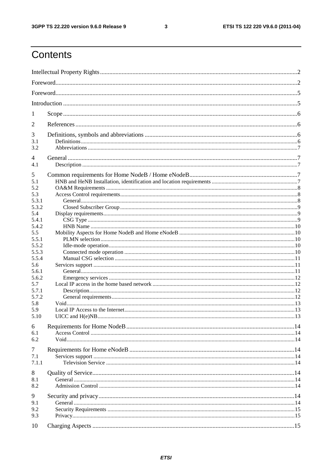#### $\mathbf{3}$

# Contents

| 1          |  |  |  |  |  |  |
|------------|--|--|--|--|--|--|
| 2          |  |  |  |  |  |  |
| 3          |  |  |  |  |  |  |
| 3.1        |  |  |  |  |  |  |
| 3.2        |  |  |  |  |  |  |
| 4          |  |  |  |  |  |  |
| 4.1        |  |  |  |  |  |  |
| 5          |  |  |  |  |  |  |
| 5.1        |  |  |  |  |  |  |
| 5.2<br>5.3 |  |  |  |  |  |  |
| 5.3.1      |  |  |  |  |  |  |
| 5.3.2      |  |  |  |  |  |  |
| 5.4        |  |  |  |  |  |  |
| 5.4.1      |  |  |  |  |  |  |
| 5.4.2      |  |  |  |  |  |  |
| 5.5        |  |  |  |  |  |  |
| 5.5.1      |  |  |  |  |  |  |
| 5.5.2      |  |  |  |  |  |  |
| 5.5.3      |  |  |  |  |  |  |
| 5.5.4      |  |  |  |  |  |  |
| 5.6        |  |  |  |  |  |  |
| 5.6.1      |  |  |  |  |  |  |
| 5.6.2      |  |  |  |  |  |  |
| 5.7        |  |  |  |  |  |  |
| 5.7.1      |  |  |  |  |  |  |
| 5.7.2      |  |  |  |  |  |  |
| 5.8        |  |  |  |  |  |  |
| 5.9        |  |  |  |  |  |  |
| 5.10       |  |  |  |  |  |  |
| 6          |  |  |  |  |  |  |
| 6.1        |  |  |  |  |  |  |
| 6.2        |  |  |  |  |  |  |
| 7          |  |  |  |  |  |  |
| 7.1        |  |  |  |  |  |  |
| 7.1.1      |  |  |  |  |  |  |
| 8          |  |  |  |  |  |  |
| 8.1        |  |  |  |  |  |  |
| 8.2        |  |  |  |  |  |  |
|            |  |  |  |  |  |  |
| 9          |  |  |  |  |  |  |
| 9.1        |  |  |  |  |  |  |
| 9.2        |  |  |  |  |  |  |
| 9.3        |  |  |  |  |  |  |
| 10         |  |  |  |  |  |  |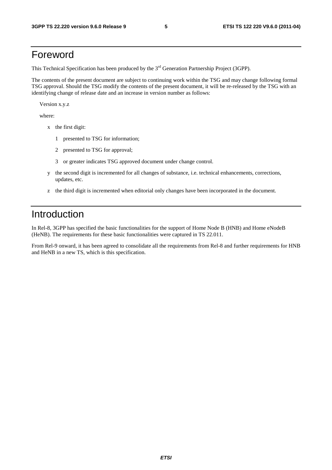### Foreword

This Technical Specification has been produced by the 3<sup>rd</sup> Generation Partnership Project (3GPP).

The contents of the present document are subject to continuing work within the TSG and may change following formal TSG approval. Should the TSG modify the contents of the present document, it will be re-released by the TSG with an identifying change of release date and an increase in version number as follows:

Version x.y.z

where:

- x the first digit:
	- 1 presented to TSG for information;
	- 2 presented to TSG for approval;
	- 3 or greater indicates TSG approved document under change control.
- y the second digit is incremented for all changes of substance, i.e. technical enhancements, corrections, updates, etc.
- z the third digit is incremented when editorial only changes have been incorporated in the document.

### Introduction

In Rel-8, 3GPP has specified the basic functionalities for the support of Home Node B (HNB) and Home eNodeB (HeNB). The requirements for these basic functionalities were captured in TS 22.011.

From Rel-9 onward, it has been agreed to consolidate all the requirements from Rel-8 and further requirements for HNB and HeNB in a new TS, which is this specification.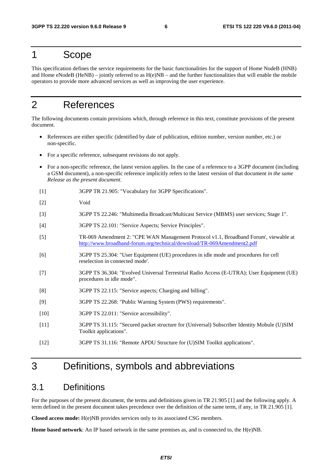### 1 Scope

This specification defines the service requirements for the basic functionalities for the support of Home NodeB (HNB) and Home eNodeB (HeNB) – jointly referred to as  $H(e)NB$  – and the further functionalities that will enable the mobile operators to provide more advanced services as well as improving the user experience.

# 2 References

The following documents contain provisions which, through reference in this text, constitute provisions of the present document.

- References are either specific (identified by date of publication, edition number, version number, etc.) or non-specific.
- For a specific reference, subsequent revisions do not apply.
- For a non-specific reference, the latest version applies. In the case of a reference to a 3GPP document (including a GSM document), a non-specific reference implicitly refers to the latest version of that document *in the same Release as the present document*.
- [1] 3GPP TR 21.905: "Vocabulary for 3GPP Specifications".
- [2] Void
- [3] 3GPP TS 22.246: "Multimedia Broadcast/Multicast Service (MBMS) user services; Stage 1".
- [4] 3GPP TS 22.101: "Service Aspects; Service Principles".
- [5] TR-069 Amendment 2: "CPE WAN Management Protocol v1.1, Broadband Forum', viewable at <http://www.broadband-forum.org/technical/download/TR-069Amendment2.pdf>
- [6] 3GPP TS 25.304: "User Equipment (UE) procedures in idle mode and procedures for cell reselection in connected mode'.
- [7] 3GPP TS 36.304: "Evolved Universal Terrestrial Radio Access (E-UTRA); User Equipment (UE) procedures in idle mode".
- [8] 3GPP TS 22.115: "Service aspects; Charging and billing".
- [9] 3GPP TS 22.268: "Public Warning System (PWS) requirements".
- [10] 3GPP TS 22.011: "Service accessibility".
- [11] 3GPP TS 31.115: "Secured packet structure for (Universal) Subscriber Identity Mobule (U)SIM Toolkit applications".
- [12] 3GPP TS 31.116: "Remote APDU Structure for (U)SIM Toolkit applications".

### 3 Definitions, symbols and abbreviations

#### 3.1 Definitions

For the purposes of the present document, the terms and definitions given in TR 21.905 [1] and the following apply. A term defined in the present document takes precedence over the definition of the same term, if any, in TR 21.905 [1].

**Closed access mode:** H(e)NB provides services only to its associated CSG members.

**Home based network**: An IP based network in the same premises as, and is connected to, the H(e)NB.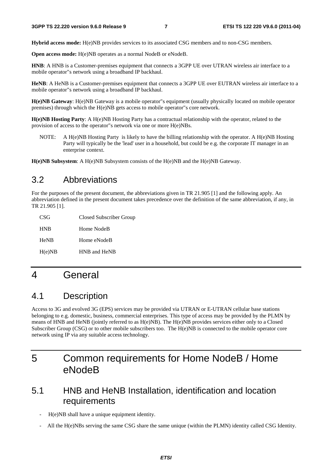**Hybrid access mode:** H(e)NB provides services to its associated CSG members and to non-CSG members.

**Open access mode:** H(e)NB operates as a normal NodeB or eNodeB.

**HNB**: A HNB is a Customer-premises equipment that connects a 3GPP UE over UTRAN wireless air interface to a mobile operator"s network using a broadband IP backhaul.

**HeNB**: A HeNB is a Customer-premises equipment that connects a 3GPP UE over EUTRAN wireless air interface to a mobile operator"s network using a broadband IP backhaul.

**H(e)NB Gateway**: H(e)NB Gateway is a mobile operator"s equipment (usually physically located on mobile operator premises) through which the H(e)NB gets access to mobile operator"s core network.

**H(e)NB Hosting Party**: A H(e)NB Hosting Party has a contractual relationship with the operator, related to the provision of access to the operator"s network via one or more H(e)NBs.

NOTE: A H(e)NB Hosting Party is likely to have the billing relationship with the operator. A H(e)NB Hosting Party will typically be the 'lead' user in a household, but could be e.g. the corporate IT manager in an enterprise context.

**H(e)NB Subsystem**: A H(e)NB Subsystem consists of the H(e)NB and the H(e)NB Gateway.

#### 3.2 Abbreviations

For the purposes of the present document, the abbreviations given in TR 21.905 [1] and the following apply. An abbreviation defined in the present document takes precedence over the definition of the same abbreviation, if any, in TR 21.905 [1].

| CSG         | Closed Subscriber Group |
|-------------|-------------------------|
| <b>HNB</b>  | Home NodeB              |
| <b>HeNB</b> | Home eNodeB             |
| H(e)NB      | HNB and HeNB            |

# 4 General

### 4.1 Description

Access to 3G and evolved 3G (EPS) services may be provided via UTRAN or E-UTRAN cellular base stations belonging to e.g. domestic, business, commercial enterprises. This type of access may be provided by the PLMN by means of HNB and HeNB (jointly referred to as H(e)NB). The H(e)NB provides services either only to a Closed Subscriber Group (CSG) or to other mobile subscribers too. The H(e)NB is connected to the mobile operator core network using IP via any suitable access technology.

# 5 Common requirements for Home NodeB / Home eNodeB

### 5.1 HNB and HeNB Installation, identification and location requirements

- H(e)NB shall have a unique equipment identity.
- All the H(e)NBs serving the same CSG share the same unique (within the PLMN) identity called CSG Identity.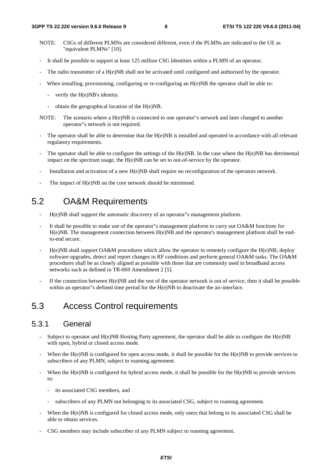- NOTE: CSGs of different PLMNs are considered different, even if the PLMNs are indicated to the UE as "equivalent PLMNs" [10].
- It shall be possible to support at least 125 million CSG Identities within a PLMN of an operator.
- The radio transmitter of a H(e)NB shall not be activated until configured and authorised by the operator.
- When installing, provisioning, configuring or re-configuring an  $H(e)NB$  the operator shall be able to:
	- verify the H(e)NB's identity.
	- obtain the geographical location of the H(e)NB.
- NOTE: The scenario where a H(e)NB is connected to one operator"s network and later changed to another operator"s network is not required.
- The operator shall be able to determine that the H(e)NB is installed and operated in accordance with all relevant regulatory requirements.
- The operator shall be able to configure the settings of the  $H(e)NB$ . In the case where the  $H(e)NB$  has detrimental impact on the spectrum usage, the H(e)NB can be set to out-of-service by the operator.
- Installation and activation of a new H(e)NB shall require no reconfiguration of the operators network.
- The impact of H(e)NB on the core network should be minimised.

### 5.2 OA&M Requirements

- H(e)NB shall support the automatic discovery of an operator"s management platform.
- It shall be possible to make use of the operator"s management platform to carry out OA&M functions for H(e)NB. The management connection between H(e)NB and the operator's management platform shall be endto-end secure.
- $H(e)NB$  shall support OA&M procedures which allow the operator to remotely configure the  $H(e)NB$ , deploy software upgrades, detect and report changes in RF conditions and perform general OA&M tasks. The OA&M procedures shall be as closely aligned as possible with those that are commonly used in broadband access networks such as defined in TR-069 Amendment 2 [5].
- If the connection between  $H(e)NB$  and the rest of the operator network is out of service, then it shall be possible within an operator"s defined time period for the H(e)NB to deactivate the air-interface.

### 5.3 Access Control requirements

#### 5.3.1 General

- Subject to operator and  $H(e)NB$  Hosting Party agreement, the operator shall be able to configure the  $H(e)NB$ with open, hybrid or closed access mode.
- When the  $H(e)NB$  is configured for open access mode, it shall be possible for the  $H(e)NB$  to provide services to subscribers of any PLMN, subject to roaming agreement.
- When the H(e)NB is configured for hybrid access mode, it shall be possible for the H(e)NB to provide services to:
	- its associated CSG members, and
	- subscribers of any PLMN not belonging to its associated CSG, subject to roaming agreement.
- When the H(e)NB is configured for closed access mode, only users that belong to its associated CSG shall be able to obtain services.
- CSG members may include subscriber of any PLMN subject to roaming agreement.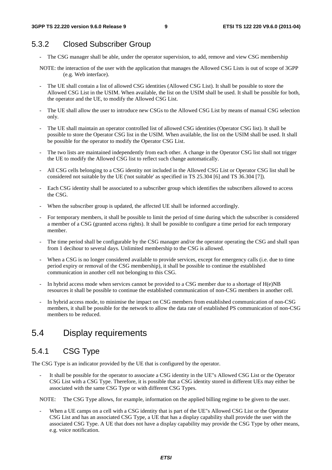### 5.3.2 Closed Subscriber Group

- The CSG manager shall be able, under the operator supervision, to add, remove and view CSG membership
- NOTE: the interaction of the user with the application that manages the Allowed CSG Lists is out of scope of 3GPP (e.g. Web interface).
- The UE shall contain a list of allowed CSG identities (Allowed CSG List). It shall be possible to store the Allowed CSG List in the USIM. When available, the list on the USIM shall be used. It shall be possible for both, the operator and the UE, to modify the Allowed CSG List.
- The UE shall allow the user to introduce new CSGs to the Allowed CSG List by means of manual CSG selection only.
- The UE shall maintain an operator controlled list of allowed CSG identities (Operator CSG list). It shall be possible to store the Operator CSG list in the USIM. When available, the list on the USIM shall be used. It shall be possible for the operator to modify the Operator CSG List.
- The two lists are maintained independently from each other. A change in the Operator CSG list shall not trigger the UE to modify the Allowed CSG list to reflect such change automatically.
- All CSG cells belonging to a CSG identity not included in the Allowed CSG List or Operator CSG list shall be considered not suitable by the UE ('not suitable' as specified in TS 25.304 [6] and TS 36.304 [7]).
- Each CSG identity shall be associated to a subscriber group which identifies the subscribers allowed to access the CSG.
- When the subscriber group is updated, the affected UE shall be informed accordingly.
- For temporary members, it shall be possible to limit the period of time during which the subscriber is considered a member of a CSG (granted access rights). It shall be possible to configure a time period for each temporary member.
- The time period shall be configurable by the CSG manager and/or the operator operating the CSG and shall span from 1 decihour to several days. Unlimited membership to the CSG is allowed.
- When a CSG is no longer considered available to provide services, except for emergency calls (i.e. due to time period expiry or removal of the CSG membership), it shall be possible to continue the established communication in another cell not belonging to this CSG.
- In hybrid access mode when services cannot be provided to a CSG member due to a shortage of  $H(e)NB$ resources it shall be possible to continue the established communication of non-CSG members in another cell.
- In hybrid access mode, to minimise the impact on CSG members from established communication of non-CSG members, it shall be possible for the network to allow the data rate of established PS communication of non-CSG members to be reduced.

### 5.4 Display requirements

#### 5.4.1 CSG Type

The CSG Type is an indicator provided by the UE that is configured by the operator.

It shall be possible for the operator to associate a CSG identity in the UE"s Allowed CSG List or the Operator CSG List with a CSG Type. Therefore, it is possible that a CSG identity stored in different UEs may either be associated with the same CSG Type or with different CSG Types.

NOTE: The CSG Type allows, for example, information on the applied billing regime to be given to the user.

When a UE camps on a cell with a CSG identity that is part of the UE"s Allowed CSG List or the Operator CSG List and has an associated CSG Type, a UE that has a display capability shall provide the user with the associated CSG Type. A UE that does not have a display capability may provide the CSG Type by other means, e.g. voice notification.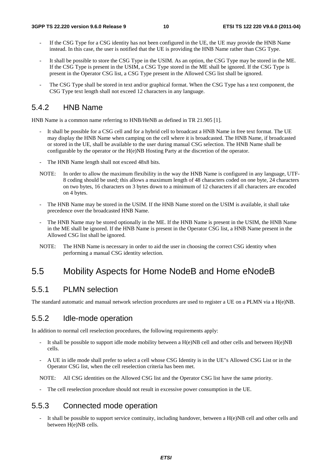- If the CSG Type for a CSG identity has not been configured in the UE, the UE may provide the HNB Name instead. In this case, the user is notified that the UE is providing the HNB Name rather than CSG Type.
- It shall be possible to store the CSG Type in the USIM. As an option, the CSG Type may be stored in the ME. If the CSG Type is present in the USIM, a CSG Type stored in the ME shall be ignored. If the CSG Type is present in the Operator CSG list, a CSG Type present in the Allowed CSG list shall be ignored.
- The CSG Type shall be stored in text and/or graphical format. When the CSG Type has a text component, the CSG Type text length shall not exceed 12 characters in any language.

#### 5.4.2 HNB Name

HNB Name is a common name referring to HNB/HeNB as defined in TR 21.905 [1].

- It shall be possible for a CSG cell and for a hybrid cell to broadcast a HNB Name in free text format. The UE may display the HNB Name when camping on the cell where it is broadcasted. The HNB Name, if broadcasted or stored in the UE, shall be available to the user during manual CSG selection. The HNB Name shall be configurable by the operator or the H(e)NB Hosting Party at the discretion of the operator.
- The HNB Name length shall not exceed 48x8 bits.
- NOTE: In order to allow the maximum flexibility in the way the HNB Name is configured in any language, UTF-8 coding should be used; this allows a maximum length of 48 characters coded on one byte, 24 characters on two bytes, 16 characters on 3 bytes down to a minimum of 12 characters if all characters are encoded on 4 bytes.
- The HNB Name may be stored in the USIM. If the HNB Name stored on the USIM is available, it shall take precedence over the broadcasted HNB Name.
- The HNB Name may be stored optionally in the ME. If the HNB Name is present in the USIM, the HNB Name in the ME shall be ignored. If the HNB Name is present in the Operator CSG list, a HNB Name present in the Allowed CSG list shall be ignored.
- NOTE: The HNB Name is necessary in order to aid the user in choosing the correct CSG identity when performing a manual CSG identity selection.

### 5.5 Mobility Aspects for Home NodeB and Home eNodeB

#### 5.5.1 PLMN selection

The standard automatic and manual network selection procedures are used to register a UE on a PLMN via a H(e)NB.

#### 5.5.2 Idle-mode operation

In addition to normal cell reselection procedures, the following requirements apply:

- It shall be possible to support idle mode mobility between a  $H(e)NB$  cell and other cells and between  $H(e)NB$ cells.
- A UE in idle mode shall prefer to select a cell whose CSG Identity is in the UE"s Allowed CSG List or in the Operator CSG list, when the cell reselection criteria has been met.

NOTE: All CSG identities on the Allowed CSG list and the Operator CSG list have the same priority.

The cell reselection procedure should not result in excessive power consumption in the UE.

#### 5.5.3 Connected mode operation

It shall be possible to support service continuity, including handover, between a  $H(e)NB$  cell and other cells and between H(e)NB cells.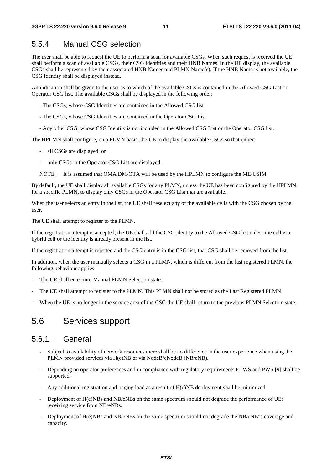#### 5.5.4 Manual CSG selection

The user shall be able to request the UE to perform a scan for available CSGs. When such request is received the UE shall perform a scan of available CSGs, their CSG Identities and their HNB Names. In the UE display, the available CSGs shall be represented by their associated HNB Names and PLMN Name(s). If the HNB Name is not available, the CSG Identity shall be displayed instead.

An indication shall be given to the user as to which of the available CSGs is contained in the Allowed CSG List or Operator CSG list. The available CSGs shall be displayed in the following order:

- The CSGs, whose CSG Identities are contained in the Allowed CSG list.

- The CSGs, whose CSG Identities are contained in the Operator CSG List.
- Any other CSG, whose CSG Identity is not included in the Allowed CSG List or the Operator CSG list.

The HPLMN shall configure, on a PLMN basis, the UE to display the available CSGs so that either:

- all CSGs are displayed, or
- only CSGs in the Operator CSG List are displayed.
- NOTE: It is assumed that OMA DM/OTA will be used by the HPLMN to configure the ME/USIM

By default, the UE shall display all available CSGs for any PLMN, unless the UE has been configured by the HPLMN, for a specific PLMN, to display only CSGs in the Operator CSG List that are available.

When the user selects an entry in the list, the UE shall reselect any of the available cells with the CSG chosen by the user.

The UE shall attempt to register to the PLMN.

If the registration attempt is accepted, the UE shall add the CSG identity to the Allowed CSG list unless the cell is a hybrid cell or the identity is already present in the list.

If the registration attempt is rejected and the CSG entry is in the CSG list, that CSG shall be removed from the list.

In addition, when the user manually selects a CSG in a PLMN, which is different from the last registered PLMN, the following behaviour applies:

- The UE shall enter into Manual PLMN Selection state.
- The UE shall attempt to register to the PLMN. This PLMN shall not be stored as the Last Registered PLMN.
- When the UE is no longer in the service area of the CSG the UE shall return to the previous PLMN Selection state.

### 5.6 Services support

#### 5.6.1 General

- Subject to availability of network resources there shall be no difference in the user experience when using the PLMN provided services via H(e)NB or via NodeB/eNodeB (NB/eNB).
- Depending on operator preferences and in compliance with regulatory requirements ETWS and PWS [9] shall be supported.
- Any additional registration and paging load as a result of H(e)NB deployment shall be minimized.
- Deployment of H(e)NBs and NB/eNBs on the same spectrum should not degrade the performance of UEs receiving service from NB/eNBs.
- Deployment of H(e)NBs and NB/eNBs on the same spectrum should not degrade the NB/eNB"s coverage and capacity.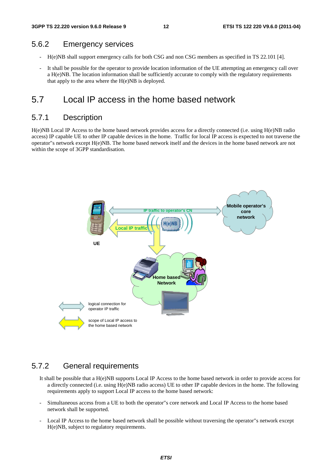#### 5.6.2 Emergency services

- H(e)NB shall support emergency calls for both CSG and non CSG members as specified in TS 22.101 [4].
- It shall be possible for the operator to provide location information of the UE attempting an emergency call over a H(e)NB. The location information shall be sufficiently accurate to comply with the regulatory requirements that apply to the area where the H(e)NB is deployed.

### 5.7 Local IP access in the home based network

#### 5.7.1 Description

H(e)NB Local IP Access to the home based network provides access for a directly connected (i.e. using H(e)NB radio access) IP capable UE to other IP capable devices in the home. Traffic for local IP access is expected to not traverse the operator"s network except H(e)NB. The home based network itself and the devices in the home based network are not within the scope of 3GPP standardisation.



#### 5.7.2 General requirements

- It shall be possible that a H(e)NB supports Local IP Access to the home based network in order to provide access for a directly connected (i.e. using H(e)NB radio access) UE to other IP capable devices in the home. The following requirements apply to support Local IP access to the home based network:
- Simultaneous access from a UE to both the operator"s core network and Local IP Access to the home based network shall be supported.
- Local IP Access to the home based network shall be possible without traversing the operator"s network except H(e)NB, subject to regulatory requirements.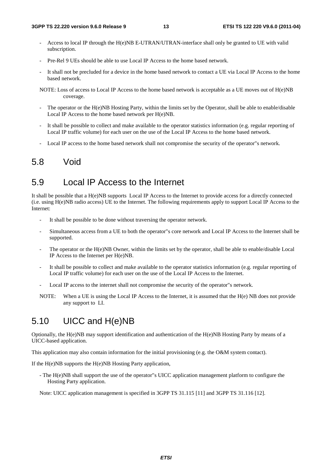- Access to local IP through the H(e)NB E-UTRAN/UTRAN-interface shall only be granted to UE with valid subscription.
- Pre-Rel 9 UEs should be able to use Local IP Access to the home based network.
- It shall not be precluded for a device in the home based network to contact a UE via Local IP Access to the home based network.
- NOTE: Loss of access to Local IP Access to the home based network is acceptable as a UE moves out of H(e)NB coverage.
- The operator or the H(e)NB Hosting Party, within the limits set by the Operator, shall be able to enable/disable Local IP Access to the home based network per H(e)NB.
- It shall be possible to collect and make available to the operator statistics information (e.g. regular reporting of Local IP traffic volume) for each user on the use of the Local IP Access to the home based network.
- Local IP access to the home based network shall not compromise the security of the operator"s network.

### 5.8 Void

### 5.9 Local IP Access to the Internet

It shall be possible that a H(e)NB supports Local IP Access to the Internet to provide access for a directly connected (i.e. using H(e)NB radio access) UE to the Internet. The following requirements apply to support Local IP Access to the Internet:

- It shall be possible to be done without traversing the operator network.
- Simultaneous access from a UE to both the operator"s core network and Local IP Access to the Internet shall be supported.
- The operator or the H(e)NB Owner, within the limits set by the operator, shall be able to enable/disable Local IP Access to the Internet per H(e)NB.
- It shall be possible to collect and make available to the operator statistics information (e.g. regular reporting of Local IP traffic volume) for each user on the use of the Local IP Access to the Internet.
- Local IP access to the internet shall not compromise the security of the operator"s network.
- NOTE: When a UE is using the Local IP Access to the Internet, it is assumed that the H(e) NB does not provide any support to LI.

### 5.10 UICC and H(e)NB

Optionally, the H(e)NB may support identification and authentication of the H(e)NB Hosting Party by means of a UICC-based application.

This application may also contain information for the initial provisioning (e.g. the O&M system contact).

If the H(e)NB supports the H(e)NB Hosting Party application,

- The H(e)NB shall support the use of the operator"s UICC application management platform to configure the Hosting Party application.

Note: UICC application management is specified in 3GPP TS 31.115 [11] and 3GPP TS 31.116 [12].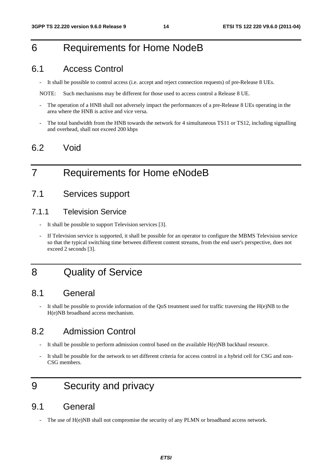# 6 Requirements for Home NodeB

### 6.1 Access Control

- It shall be possible to control access (i.e. accept and reject connection requests) of pre-Release 8 UEs.

NOTE: Such mechanisms may be different for those used to access control a Release 8 UE.

- The operation of a HNB shall not adversely impact the performances of a pre-Release 8 UEs operating in the area where the HNB is active and vice versa.
- The total bandwidth from the HNB towards the network for 4 simultaneous TS11 or TS12, including signalling and overhead, shall not exceed 200 kbps

### 6.2 Void

# 7 Requirements for Home eNodeB

### 7.1 Services support

#### 7.1.1 Television Service

- It shall be possible to support Television services [3].
- If Television service is supported, it shall be possible for an operator to configure the MBMS Television service so that the typical switching time between different content streams, from the end user's perspective, does not exceed 2 seconds [3].

# 8 Quality of Service

### 8.1 General

It shall be possible to provide information of the QoS treatment used for traffic traversing the  $H(e)NB$  to the H(e)NB broadband access mechanism.

### 8.2 Admission Control

- It shall be possible to perform admission control based on the available H(e)NB backhaul resource.
- It shall be possible for the network to set different criteria for access control in a hybrid cell for CSG and non-CSG members.

# 9 Security and privacy

### 9.1 General

The use of  $H(e)NB$  shall not compromise the security of any PLMN or broadband access network.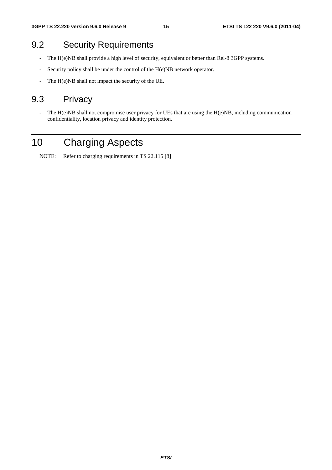### 9.2 Security Requirements

- The H(e)NB shall provide a high level of security, equivalent or better than Rel-8 3GPP systems.
- Security policy shall be under the control of the H(e)NB network operator.
- The H(e)NB shall not impact the security of the UE.

### 9.3 Privacy

- The H(e)NB shall not compromise user privacy for UEs that are using the H(e)NB, including communication confidentiality, location privacy and identity protection.

# 10 Charging Aspects

NOTE: Refer to charging requirements in TS 22.115 [8]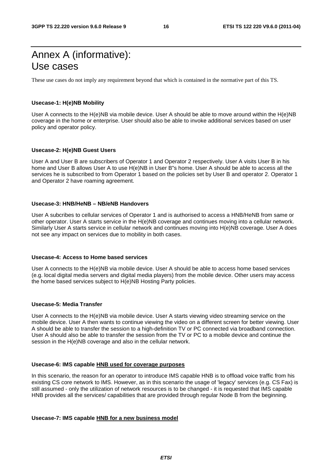# Annex A (informative): Use cases

These use cases do not imply any requirement beyond that which is contained in the normative part of this TS.

#### **Usecase-1: H(e)NB Mobility**

User A connects to the H(e)NB via mobile device. User A should be able to move around within the H(e)NB coverage in the home or enterprise. User should also be able to invoke additional services based on user policy and operator policy.

#### **Usecase-2: H(e)NB Guest Users**

User A and User B are subscribers of Operator 1 and Operator 2 respectively. User A visits User B in his home and User B allows User A to use H(e)NB in User B"s home. User A should be able to access all the services he is subscribed to from Operator 1 based on the policies set by User B and operator 2. Operator 1 and Operator 2 have roaming agreement.

#### **Usecase-3: HNB/HeNB – NB/eNB Handovers**

User A subcribes to cellular services of Operator 1 and is authorised to access a HNB/HeNB from same or other operator. User A starts service in the H(e)NB coverage and continues moving into a cellular network. Similarly User A starts service in cellular network and continues moving into H(e)NB coverage. User A does not see any impact on services due to mobility in both cases.

#### **Usecase-4: Access to Home based services**

User A connects to the H(e)NB via mobile device. User A should be able to access home based services (e.g. local digital media servers and digital media players) from the mobile device. Other users may access the home based services subject to H(e)NB Hosting Party policies.

#### **Usecase-5: Media Transfer**

User A connects to the H(e)NB via mobile device. User A starts viewing video streaming service on the mobile device. User A then wants to continue viewing the video on a different screen for better viewing. User A should be able to transfer the session to a high-definition TV or PC connected via broadband connection. User A should also be able to transfer the session from the TV or PC to a mobile device and continue the session in the H(e)NB coverage and also in the cellular network.

#### **Usecase-6: IMS capable HNB used for coverage purposes**

In this scenario, the reason for an operator to introduce IMS capable HNB is to offload voice traffic from his existing CS core network to IMS. However, as in this scenario the usage of 'legacy' services (e.g. CS Fax) is still assumed - only the utilization of network resources is to be changed - it is requested that IMS capable HNB provides all the services/ capabilities that are provided through regular Node B from the beginning.

#### **Usecase-7: IMS capable HNB for a new business model**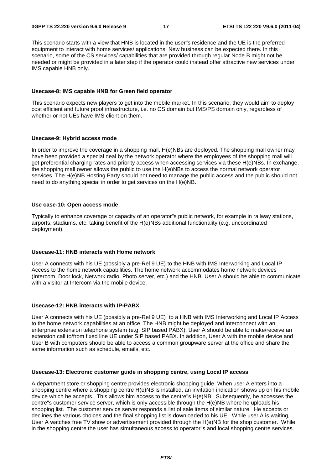This scenario starts with a view that HNB is located in the user"s residence and the UE is the preferred equipment to interact with home services/ applications. New business can be expected there. In this scenario, some of the CS services/ capabilities that are provided through regular Node B might not be needed or might be provided in a later step if the operator could instead offer attractive new services under IMS capable HNB only.

#### **Usecase-8: IMS capable HNB for Green field operator**

This scenario expects new players to get into the mobile market. In this scenario, they would aim to deploy cost efficient and future proof infrastructure, i.e. no CS domain but IMS/PS domain only, regardless of whether or not UEs have IMS client on them.

#### **Usecase-9: Hybrid access mode**

In order to improve the coverage in a shopping mall, H(e)NBs are deployed. The shopping mall owner may have been provided a special deal by the network operator where the employees of the shopping mall will get preferential charging rates and priority access when accessing services via these H(e)NBs. In exchange, the shopping mall owner allows the public to use the H(e)NBs to access the normal network operator services. The H(e)NB Hosting Party should not need to manage the public access and the public should not need to do anything special in order to get services on the H(e)NB.

#### **Use case-10: Open access mode**

Typically to enhance coverage or capacity of an operator"s public network, for example in railway stations, airports, stadiums, etc, taking benefit of the H(e)NBs additional functionality (e.g. uncoordinated deployment).

#### **Usecase-11: HNB interacts with Home network**

User A connects with his UE (possibly a pre-Rel 9 UE) to the HNB with IMS Interworking and Local IP Access to the home network capabilities. The home network accommodates home network devices (Intercom, Door lock, Network radio, Photo server, etc.) and the HNB. User A should be able to communicate with a visitor at Intercom via the mobile device.

#### **Usecase-12: HNB interacts with IP-PABX**

User A connects with his UE (possibly a pre-Rel 9 UE) to a HNB with IMS Interworking and Local IP Access to the home network capabilities at an office. The HNB might be deployed and interconnect with an enterprise extension telephone system (e.g. SIP based PABX). User A should be able to make/receive an extension call to/from fixed line UE under SIP based PABX. In addition, User A with the mobile device and User B with computers should be able to access a common groupware server at the office and share the same information such as schedule, emails, etc.

#### **Usecase-13: Electronic customer guide in shopping centre, using Local IP access**

A department store or shopping centre provides electronic shopping guide. When user A enters into a shopping centre where a shopping centre H(e)NB is installed, an invitation indication shows up on his mobile device which he accepts. This allows him access to the centre"s H(e)NB. Subsequently, he accesses the centre"s customer service server, which is only accessible through the H(e)NB where he uploads his shopping list. The customer service server responds a list of sale items of similar nature. He accepts or declines the various choices and the final shopping list is downloaded to his UE. While user A is waiting, User A watches free TV show or advertisement provided through the H(e)NB for the shop customer. While in the shopping centre the user has simultaneous access to operator"s and local shopping centre services.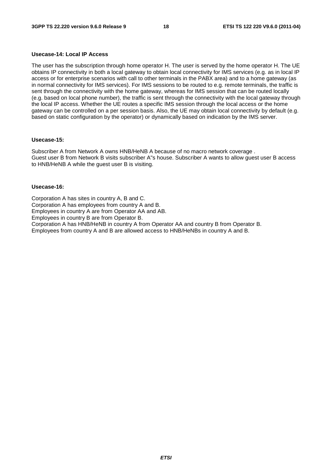#### **Usecase-14: Local IP Access**

The user has the subscription through home operator H. The user is served by the home operator H. The UE obtains IP connectivity in both a local gateway to obtain local connectivity for IMS services (e.g. as in local IP access or for enterprise scenarios with call to other terminals in the PABX area) and to a home gateway (as in normal connectivity for IMS services). For IMS sessions to be routed to e.g. remote terminals, the traffic is sent through the connectivity with the home gateway, whereas for IMS session that can be routed locally (e.g. based on local phone number), the traffic is sent through the connectivity with the local gateway through the local IP access. Whether the UE routes a specific IMS session through the local access or the home gateway can be controlled on a per session basis. Also, the UE may obtain local connectivity by default (e.g. based on static configuration by the operator) or dynamically based on indication by the IMS server.

#### **Usecase-15:**

Subscriber A from Network A owns HNB/HeNB A because of no macro network coverage . Guest user B from Network B visits subscriber A"s house. Subscriber A wants to allow guest user B access to HNB/HeNB A while the guest user B is visiting.

#### **Usecase-16:**

Corporation A has sites in country A, B and C. Corporation A has employees from country A and B. Employees in country A are from Operator AA and AB. Employees in country B are from Operator B. Corporation A has HNB/HeNB in country A from Operator AA and country B from Operator B. Employees from country A and B are allowed access to HNB/HeNBs in country A and B.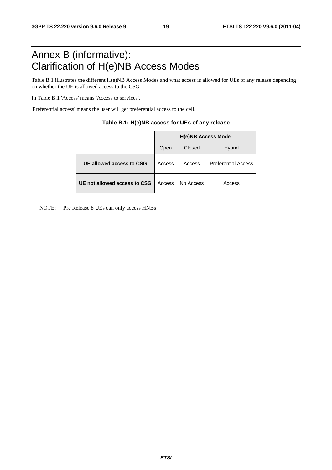# Annex B (informative): Clarification of H(e)NB Access Modes

Table B.1 illustrates the different H(e)NB Access Modes and what access is allowed for UEs of any release depending on whether the UE is allowed access to the CSG.

In Table B.1 'Access' means 'Access to services'.

'Preferential access' means the user will get preferential access to the cell.

|                              | <b>H(e)NB Access Mode</b> |           |                            |  |  |  |
|------------------------------|---------------------------|-----------|----------------------------|--|--|--|
|                              | Open                      | Closed    | <b>Hybrid</b>              |  |  |  |
| UE allowed access to CSG     | Access                    | Access    | <b>Preferential Access</b> |  |  |  |
| UE not allowed access to CSG | Access                    | No Access | Access                     |  |  |  |

#### **Table B.1: H(e)NB access for UEs of any release**

NOTE: Pre Release 8 UEs can only access HNBs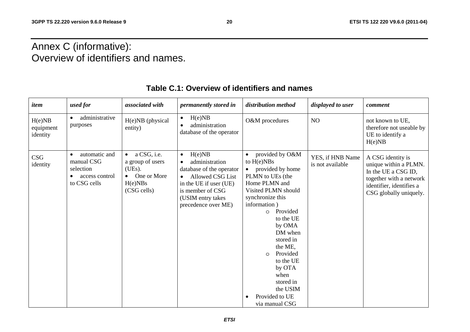# Annex C (informative): Overview of identifiers and names.

| item                            | used for                                                                                | associated with                                                                                        | permanently stored in                                                                                                                                                                        | distribution method                                                                                                                                                                                                                                                                                                                                      | displayed to user                    | comment                                                                                                                                            |
|---------------------------------|-----------------------------------------------------------------------------------------|--------------------------------------------------------------------------------------------------------|----------------------------------------------------------------------------------------------------------------------------------------------------------------------------------------------|----------------------------------------------------------------------------------------------------------------------------------------------------------------------------------------------------------------------------------------------------------------------------------------------------------------------------------------------------------|--------------------------------------|----------------------------------------------------------------------------------------------------------------------------------------------------|
| H(e)NB<br>equipment<br>identity | administrative<br>purposes                                                              | H(e)NB (physical<br>entity)                                                                            | H(e)NB<br>$\bullet$<br>administration<br>database of the operator                                                                                                                            | O&M procedures                                                                                                                                                                                                                                                                                                                                           | NO                                   | not known to UE,<br>therefore not useable by<br>UE to identify a<br>H(e)NB                                                                         |
| CSG<br>identity                 | automatic and<br>$\bullet$<br>manual CSG<br>selection<br>access control<br>to CSG cells | $\bullet$ a CSG, i.e.<br>a group of users<br>(UEs).<br>$\bullet$ One or More<br>H(e)NBs<br>(CSG cells) | H(e)NB<br>$\bullet$<br>administration<br>database of the operator<br>Allowed CSG List<br>$\bullet$<br>in the UE if user (UE)<br>is member of CSG<br>(USIM entry takes<br>precedence over ME) | provided by O&M<br>to $H(e)NBs$<br>provided by home<br>PLMN to UEs (the<br>Home PLMN and<br>Visited PLMN should<br>synchronize this<br>information)<br>Provided<br>$\Omega$<br>to the UE<br>by OMA<br>DM when<br>stored in<br>the ME,<br>Provided<br>$\circ$<br>to the UE<br>by OTA<br>when<br>stored in<br>the USIM<br>Provided to UE<br>via manual CSG | YES, if HNB Name<br>is not available | A CSG identity is<br>unique within a PLMN.<br>In the UE a CSG ID,<br>together with a network<br>identifier, identifies a<br>CSG globally uniquely. |

### **Table C.1: Overview of identifiers and names**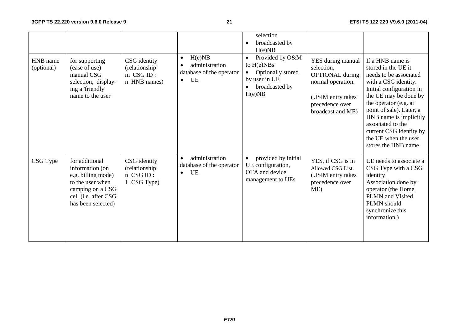| HNB name<br>(optional) | for supporting<br>(ease of use)<br>manual CSG<br>selection, display-<br>ing a 'friendly'<br>name to the user                                  | CSG identity<br>(relationship:<br>$m$ CSG ID:<br>n HNB names) | H(e)NB<br>$\bullet$<br>administration<br>database of the operator<br>UE<br>$\bullet$ | selection<br>broadcasted by<br>H(e)NB<br>Provided by O&M<br>$\bullet$<br>to $H(e)NBs$<br>Optionally stored<br>$\bullet$<br>by user in UE<br>broadcasted by<br>H(e)NB | YES during manual<br>selection.<br><b>OPTIONAL</b> during<br>normal operation.<br>(USIM entry takes<br>precedence over<br>broadcast and ME) | If a HNB name is<br>stored in the UE it<br>needs to be associated<br>with a CSG identity.<br>Initial configuration in<br>the UE may be done by<br>the operator (e.g. at<br>point of sale). Later, a<br>HNB name is implicitly<br>associated to the<br>current CSG identity by<br>the UE when the user |
|------------------------|-----------------------------------------------------------------------------------------------------------------------------------------------|---------------------------------------------------------------|--------------------------------------------------------------------------------------|----------------------------------------------------------------------------------------------------------------------------------------------------------------------|---------------------------------------------------------------------------------------------------------------------------------------------|-------------------------------------------------------------------------------------------------------------------------------------------------------------------------------------------------------------------------------------------------------------------------------------------------------|
| CSG Type               | for additional<br>information (on<br>e.g. billing mode)<br>to the user when<br>camping on a CSG<br>cell (i.e. after CSG<br>has been selected) | CSG identity<br>(relationship:<br>n CSG ID:<br>1 CSG Type)    | administration<br>$\bullet$<br>database of the operator<br>UE<br>$\bullet$           | provided by initial<br>UE configuration,<br>OTA and device<br>management to UEs                                                                                      | YES, if CSG is in<br>Allowed CSG List.<br>(USIM entry takes<br>precedence over<br>ME)                                                       | stores the HNB name<br>UE needs to associate a<br>CSG Type with a CSG<br>identity<br>Association done by<br>operator (the Home<br>PLMN and Visited<br>PLMN should<br>synchronize this<br>information)                                                                                                 |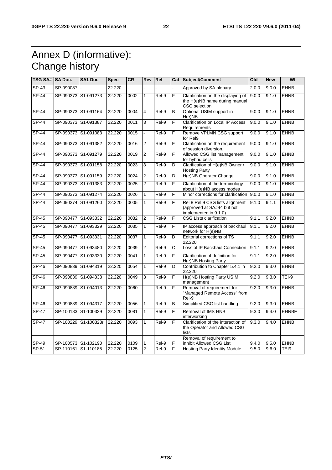# Annex D (informative): Change history

| <b>TSG SA#</b> | <b>SA Doc.</b>      | <b>SA1 Doc</b>      | <b>Spec</b> | <b>CR</b> | <b>Rev</b>     | <b>Rel</b> |   | Cat Subject/Comment                                                                    | Old   | <b>New</b> | WI           |
|----------------|---------------------|---------------------|-------------|-----------|----------------|------------|---|----------------------------------------------------------------------------------------|-------|------------|--------------|
| $SP-43$        | SP-090087           |                     | 22.220      |           |                |            |   | Approved by SA plenary.                                                                | 2.0.0 | 9.0.0      | <b>EHNB</b>  |
| <b>SP-44</b>   |                     | SP-090373 S1-091273 | 22.220      | 0002      | $\mathbf{1}$   | Rel-9      | F | Clarification on the displaying of<br>the H(e)NB name during manual<br>CSG selection   | 9.0.0 | 9.1.0      | <b>EHNB</b>  |
| $SP-44$        |                     | SP-090373 S1-091164 | 22.220      | 0004      | 4              | Rel-9      | B | Optional USIM support in<br>H(e)NB                                                     | 9.0.0 | 9.1.0      | <b>EHNB</b>  |
| SP-44          | SP-090373 S1-091387 |                     | 22.220      | 0011      | 3              | Rel-9      | F | <b>Clarification on Local IP Access</b><br>Requirements                                | 9.0.0 | 9.1.0      | <b>EHNB</b>  |
| $SP-44$        |                     | SP-090373 S1-091083 | 22.220      | 0015      |                | Rel-9      | F | Remove VPLMN CSG support<br>for Rel9                                                   | 9.0.0 | 9.1.0      | <b>EHNB</b>  |
| SP-44          |                     | SP-090373 S1-091382 | 22.220      | 0016      | $\overline{2}$ | Rel-9      | F | Clarification on the requirement<br>of session diversion.                              | 9.0.0 | 9.1.0      | <b>EHNB</b>  |
| <b>SP-44</b>   |                     | SP-090373 S1-091279 | 22.220      | 0019      | $\overline{c}$ | Rel-9      | F | Allowed CSG list management<br>for hybrid cells                                        | 9.0.0 | 9.1.0      | <b>EHNB</b>  |
| SP-44          |                     | SP-090373 S1-091158 | 22.220      | 0023      | 3              | Rel-9      | D | Clarification of H(e)NB Owner /<br><b>Hosting Party</b>                                | 9.0.0 | 9.1.0      | <b>EHNB</b>  |
| <b>SP-44</b>   |                     | SP-090373 S1-091159 | 22.220      | 0024      | $\overline{2}$ | Rel-9      | D | H(e)NB Operator Change                                                                 | 9.0.0 | 9.1.0      | <b>EHNB</b>  |
| SP-44          |                     | SP-090373 S1-091383 | 22.220      | 0025      | $\overline{2}$ | Rel-9      | F | Clarification of the terminology<br>about H(e)NB access modes                          | 9.0.0 | 9.1.0      | <b>EHNB</b>  |
| $SP-44$        |                     | SP-090373 S1-091274 | 22.220      | 0026      | $\mathbf{1}$   | $ReI-9$    | F | Minor corrections for clarification                                                    | 9.0.0 | 9.1.0      | <b>EHNB</b>  |
| SP-44          | SP-090374           | S1-091260           | 22.220      | 0005      | 1              | Rel-9      | F | Rel 8 Rel 9 CSG lists alignment<br>(approved at SA#44 but not<br>implemented in 9.1.0) | 9.1.0 | 9.1.1      | <b>EHNB</b>  |
| <b>SP-45</b>   | SP-090477           | S1-093332           | 22.220      | 0032      | $\overline{c}$ | Rel-9      | F | <b>CSG Lists clarification</b>                                                         | 9.1.1 | 9.2.0      | <b>EHNB</b>  |
| $SP-45$        | SP-090477           | S1-093329           | 22.220      | 0035      | 1              | Rel-9      | F | IP access approach of backhaul<br>network for H(e)NB                                   | 9.1.1 | 9.2.0      | <b>EHNB</b>  |
| $SP-45$        | SP-090477 S1-093331 |                     | 22.220      | 0037      | $\mathbf{1}$   | $ReI-9$    | D | <b>Editorial corrections of TS</b><br>22.220                                           | 9.1.1 | 9.2.0      | <b>EHNB</b>  |
| $SP-45$        | SP-090477           | S1-093480           | 22.220      | 0039      | 2              | Rel-9      | С | Loss of IP Backhaul Connection                                                         | 9.1.1 | 9.2.0      | <b>EHNB</b>  |
| $SP-45$        | SP-090477           | S1-093330           | 22.220      | 0041      | $\mathbf{1}$   | Rel-9      | F | Clarification of definition for<br>H(e)NB Hosting Party                                | 9.1.1 | 9.2.0      | <b>EHNB</b>  |
| SP-46          |                     | SP-090839 S1-094319 | 22.220      | 0054      | 1              | Rel-9      | D | Contribution to Chapter 5.4.1 in<br>22.220                                             | 9.2.0 | 9.3.0      | <b>EHNB</b>  |
| SP-46          | SP-090839           | S1-094338           | 22.220      | 0049      | 3              | Rel-9      | F | H(e)NB Hosting Party USIM<br>management                                                | 9.2.0 | 9.3.0      | $TEI-9$      |
| SP-46          |                     | SP-090839 S1-094013 | 22.220      | 0060      |                | Rel-9      | F | Removal of requirement for<br>"Managed Remote Access" from<br>Rel-9                    | 9.2.0 | 9.3.0      | <b>EHNB</b>  |
| SP-46          | SP-090839           | S1-094317           | 22.220      | 0056      | $\mathbf{1}$   | Rel-9      | B | Simplified CSG list handling                                                           | 9.2.0 | 9.3.0      | <b>EHNB</b>  |
| <b>SP-47</b>   |                     | SP-100183 S1-100329 | 22.220      | 0081      | $\mathbf{1}$   | Rel-9      | F | Removal of IMS HNB<br>interworking                                                     | 9.3.0 | 9.4.0      | <b>EHNBF</b> |
| SP-47          | SP-100229           | S1-100323r          | 22.220      | 0093      | $\mathbf{1}$   | Rel-9      | F | Clarification of the interaction of<br>the Operator and Allowed CSG<br>lists           | 9.3.0 | 9.4.0      | <b>EHNB</b>  |
| SP-49          |                     | SP-100573 S1-102190 | 22.220      | 0109      | 1              | Rel-9      | F | Removal of requirement to<br>inhibit Allowed CSG List                                  | 9.4.0 | 9.5.0      | <b>EHNB</b>  |
| SP-51          |                     | SP-110161 S1-110185 | 22.220      | 0125      | $\overline{2}$ | Rel-9      | F | <b>Hosting Party Identity Module</b>                                                   | 9.5.0 | 9.6.0      | TEI9         |